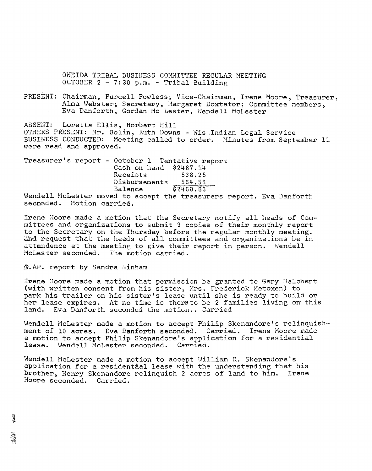ONEIDA TRIBAL BUSINESS COMMITTEE REGULAR MEETING OCTOBER  $2 - 7:30 p.m. - Tribunal Building$ 

PRESENT: Chairman, Purcell Powless; Vice-Chairman, Irene Moore, Treasurer, Alma Webster; Secretary, Margaret Doxtator; Committee members, Eva Danforth, Gordan Mc Lester, Wendell McLester

ABSENT: Loretta Ellis, Norbert Hill OTHERS PRESENT: Mr. Bolin, Ruth Downs - Wis Indian Legal Service<br>BUSINESS CONDUCTED: Meeting called to order. Minutes from Septe Meeting called to order. Minutes from September 11 were read and approved.

Treasurer's report - October 1 Tentative report Cash on hand \$2487.14 Receipts 538.25<br>Disbursements 564.56 Disbursements<br>Balance Balance \$2460.83 Wendell McLester moved to accept the treasurers report. Eva Danforth

seconded. Motion carried.

Irene Moore made a motion that the Secretary notify all heads of Committees and organizations to submit 9 copies of their monthly report to the Secretary on the Thursday before the regular monthly meeting. and request that the heads of all committees and organizations be in attandence at the meeting to give their report in person. Wendell HcLester seconded. The motion carried.

## **A.AP.** report by Sandra Ninham

Irene Hoore made a motion that permission be granted to Gary :1elchert (with written consent from his sister, Mrs. Frederick Metoxen) to park his trailer on his sister's lease until she is ready to build or her lease expires. At no time is thereto be 2 families living on this land. Eva Danforth seconded the motion.. Carried Eva Danforth seconded the motion.. Carried

Wendell McLester made a motion to accept Philip Skenandore's relinquishment of 10 acres. Eva Danforth seconded. Carried. Irene Moore made a motion to accept Philip Skenandore's application for a residential lease. Wendell McLester seconded. Carried.

Wendell McLester made a motion to accept William R. Skenandore's application for a residential lease with the understanding that his brother, Henry Skenandore relinquish 2 acres of land to him. Irene Hoore seconded. Carried.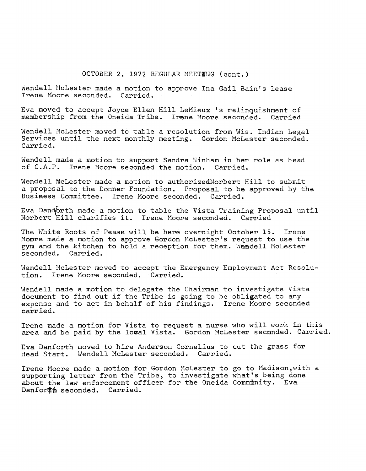## OCTOBER 2, 1972 REGULAR MEETING (cont.)

Wendell McLester made a motion to approve Ina Gail Bain's lease Irene Hoore seconded. Carried.

Eva moved to accept Joyce Ellen Hill LeHieux 's relinquishment of membership from the Oneida Tribe. Irane Moore seconded. Carried

Wendell McLester moved to table a resolution from Wis. Indian Legal Services until the next monthly meeting. Gordon McLester seconded. Carried.

Wendell made a motion to support Sandra Ninham in her role as head of C.A.P. Irene Moore seconded the motion. Carried. Irene Moore seconded the motion. Carried.

Wendell McLester made a motion to authorizedNorbert Hill to submit a proposal to the Donner Foundation. Proposal to be approved by the Business Committee. Irene Moore seconded. Carried.

Eva Dandorth made a motion to table the Vista Training Proposal until Norbert 'Hill clarifies it. Irene Hoore seconded. Carried

The White Roots of Pease will be here overnight October 15. Irene Monre made a motion to approve Gordon McLester's request to use the gym and the kitchen to hold a reception for them. Wandell McLester seconded. Carried. seconded.

Wendell McLester moved to accept the Emergency Employment Act Resolution. Irene Moore seconded. Carried.

Wendell made a motion to delegate the Chairman to investigate Vista document to find out if the Tribe is going to be obligated to any expense and to act in behalf of his findings. Irene Moore seconded carried.

Irene made a motion for Vista to request a nurse who will work in this area and be paid by the loval Vista. Gordon McLester seconded. Carried.

Eva Danforth moved to hire Anderson Cornelius to cut the grass for Head Start. Hendell HcLester seconded. Carried.

Irene Moore made a motion for Gordon McLester to go to Madison, with a supporting letter from the Tribe, to investigate what's being done about the law enforcement officer for the Oneida Community. Eva Danfor#h seconded. Carried.